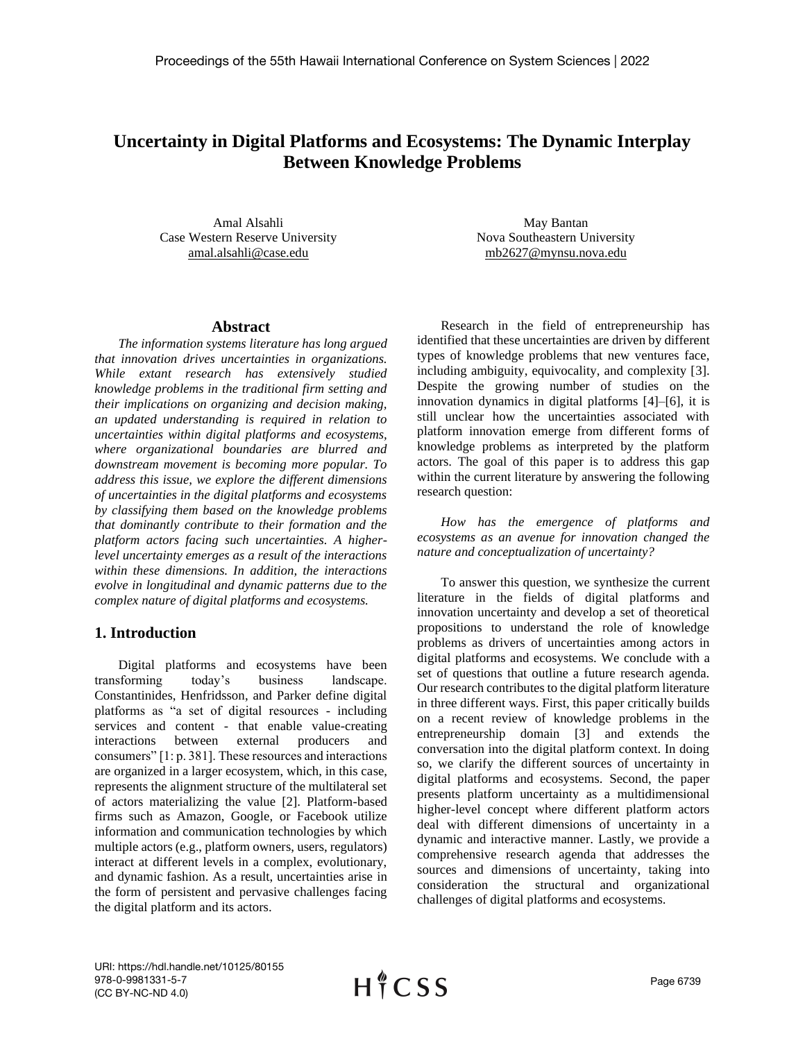# **Uncertainty in Digital Platforms and Ecosystems: The Dynamic Interplay Between Knowledge Problems**

Amal Alsahli Case Western Reserve University amal.alsahli@case.edu

#### **Abstract**

*The information systems literature has long argued that innovation drives uncertainties in organizations. While extant research has extensively studied knowledge problems in the traditional firm setting and their implications on organizing and decision making, an updated understanding is required in relation to uncertainties within digital platforms and ecosystems, where organizational boundaries are blurred and downstream movement is becoming more popular. To address this issue, we explore the different dimensions of uncertainties in the digital platforms and ecosystems by classifying them based on the knowledge problems that dominantly contribute to their formation and the platform actors facing such uncertainties. A higherlevel uncertainty emerges as a result of the interactions within these dimensions. In addition, the interactions evolve in longitudinal and dynamic patterns due to the complex nature of digital platforms and ecosystems.*

### **1. Introduction**

Digital platforms and ecosystems have been transforming today's business landscape. Constantinides, Henfridsson, and Parker define digital platforms as "a set of digital resources - including services and content - that enable value-creating interactions between external producers and consumers" [1: p. 381]. These resources and interactions are organized in a larger ecosystem, which, in this case, represents the alignment structure of the multilateral set of actors materializing the value [2]. Platform-based firms such as Amazon, Google, or Facebook utilize information and communication technologies by which multiple actors (e.g., platform owners, users, regulators) interact at different levels in a complex, evolutionary, and dynamic fashion. As a result, uncertainties arise in the form of persistent and pervasive challenges facing the digital platform and its actors.

May Bantan Nova Southeastern University mb2627@mynsu.nova.edu

Research in the field of entrepreneurship has identified that these uncertainties are driven by different types of knowledge problems that new ventures face, including ambiguity, equivocality, and complexity [3]. Despite the growing number of studies on the innovation dynamics in digital platforms [4]–[6], it is still unclear how the uncertainties associated with platform innovation emerge from different forms of knowledge problems as interpreted by the platform actors. The goal of this paper is to address this gap within the current literature by answering the following research question:

*How has the emergence of platforms and ecosystems as an avenue for innovation changed the nature and conceptualization of uncertainty?*

To answer this question, we synthesize the current literature in the fields of digital platforms and innovation uncertainty and develop a set of theoretical propositions to understand the role of knowledge problems as drivers of uncertainties among actors in digital platforms and ecosystems. We conclude with a set of questions that outline a future research agenda. Our research contributes to the digital platform literature in three different ways. First, this paper critically builds on a recent review of knowledge problems in the entrepreneurship domain [3] and extends the conversation into the digital platform context. In doing so, we clarify the different sources of uncertainty in digital platforms and ecosystems. Second, the paper presents platform uncertainty as a multidimensional higher-level concept where different platform actors deal with different dimensions of uncertainty in a dynamic and interactive manner. Lastly, we provide a comprehensive research agenda that addresses the sources and dimensions of uncertainty, taking into consideration the structural and organizational challenges of digital platforms and ecosystems.

URI: https://hdl.handle.net/10125/80155 978-0-9981331-5-7 (CC BY-NC-ND 4.0)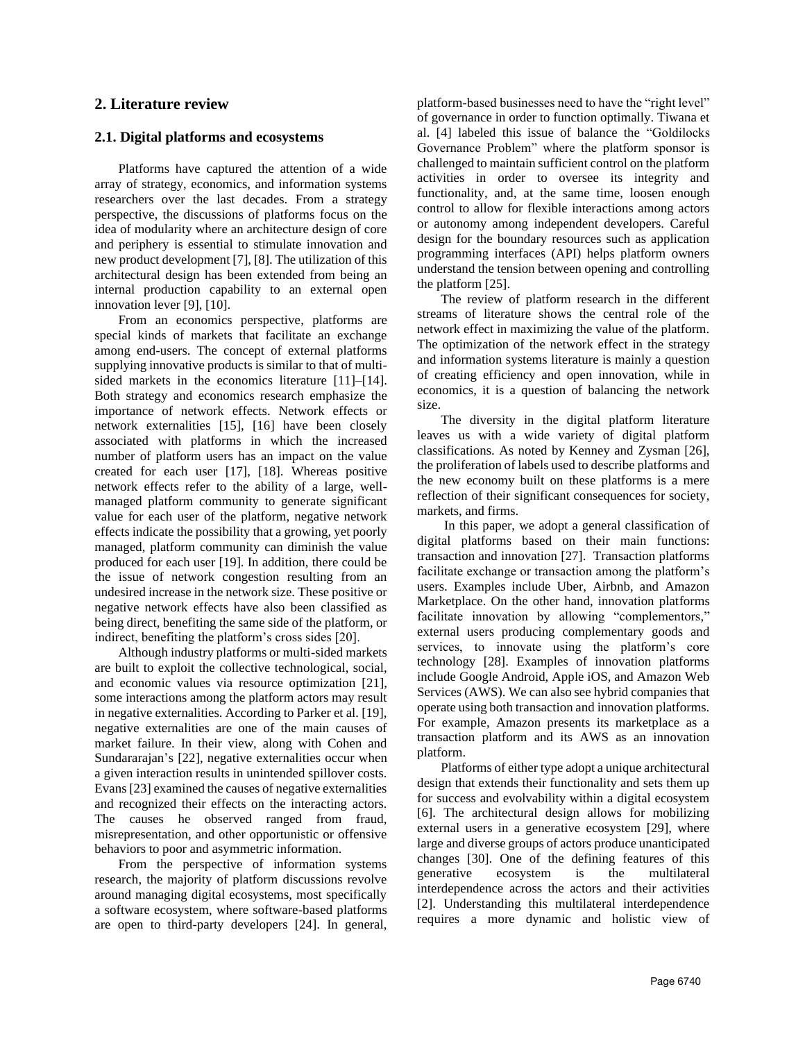### **2. Literature review**

### **2.1. Digital platforms and ecosystems**

Platforms have captured the attention of a wide array of strategy, economics, and information systems researchers over the last decades. From a strategy perspective, the discussions of platforms focus on the idea of modularity where an architecture design of core and periphery is essential to stimulate innovation and new product development [7], [8]. The utilization of this architectural design has been extended from being an internal production capability to an external open innovation lever [9], [10].

From an economics perspective, platforms are special kinds of markets that facilitate an exchange among end-users. The concept of external platforms supplying innovative products is similar to that of multisided markets in the economics literature [11]–[14]. Both strategy and economics research emphasize the importance of network effects. Network effects or network externalities [15], [16] have been closely associated with platforms in which the increased number of platform users has an impact on the value created for each user [17], [18]. Whereas positive network effects refer to the ability of a large, wellmanaged platform community to generate significant value for each user of the platform, negative network effects indicate the possibility that a growing, yet poorly managed, platform community can diminish the value produced for each user [19]. In addition, there could be the issue of network congestion resulting from an undesired increase in the network size. These positive or negative network effects have also been classified as being direct, benefiting the same side of the platform, or indirect, benefiting the platform's cross sides [20].

Although industry platforms or multi-sided markets are built to exploit the collective technological, social, and economic values via resource optimization [21], some interactions among the platform actors may result in negative externalities. According to Parker et al. [19], negative externalities are one of the main causes of market failure. In their view, along with Cohen and Sundararajan's [22], negative externalities occur when a given interaction results in unintended spillover costs. Evans [23] examined the causes of negative externalities and recognized their effects on the interacting actors. The causes he observed ranged from fraud, misrepresentation, and other opportunistic or offensive behaviors to poor and asymmetric information.

From the perspective of information systems research, the majority of platform discussions revolve around managing digital ecosystems, most specifically a software ecosystem, where software-based platforms are open to third-party developers [24]. In general,

platform-based businesses need to have the "right level" of governance in order to function optimally. Tiwana et al. [4] labeled this issue of balance the "Goldilocks Governance Problem" where the platform sponsor is challenged to maintain sufficient control on the platform activities in order to oversee its integrity and functionality, and, at the same time, loosen enough control to allow for flexible interactions among actors or autonomy among independent developers. Careful design for the boundary resources such as application programming interfaces (API) helps platform owners understand the tension between opening and controlling the platform [25].

The review of platform research in the different streams of literature shows the central role of the network effect in maximizing the value of the platform. The optimization of the network effect in the strategy and information systems literature is mainly a question of creating efficiency and open innovation, while in economics, it is a question of balancing the network size.

The diversity in the digital platform literature leaves us with a wide variety of digital platform classifications. As noted by Kenney and Zysman [26], the proliferation of labels used to describe platforms and the new economy built on these platforms is a mere reflection of their significant consequences for society, markets, and firms.

In this paper, we adopt a general classification of digital platforms based on their main functions: transaction and innovation [27]. Transaction platforms facilitate exchange or transaction among the platform's users. Examples include Uber, Airbnb, and Amazon Marketplace. On the other hand, innovation platforms facilitate innovation by allowing "complementors," external users producing complementary goods and services, to innovate using the platform's core technology [28]. Examples of innovation platforms include Google Android, Apple iOS, and Amazon Web Services (AWS). We can also see hybrid companies that operate using both transaction and innovation platforms. For example, Amazon presents its marketplace as a transaction platform and its AWS as an innovation platform.

Platforms of either type adopt a unique architectural design that extends their functionality and sets them up for success and evolvability within a digital ecosystem [6]. The architectural design allows for mobilizing external users in a generative ecosystem [29], where large and diverse groups of actors produce unanticipated changes [30]. One of the defining features of this generative ecosystem is the multilateral interdependence across the actors and their activities [2]. Understanding this multilateral interdependence requires a more dynamic and holistic view of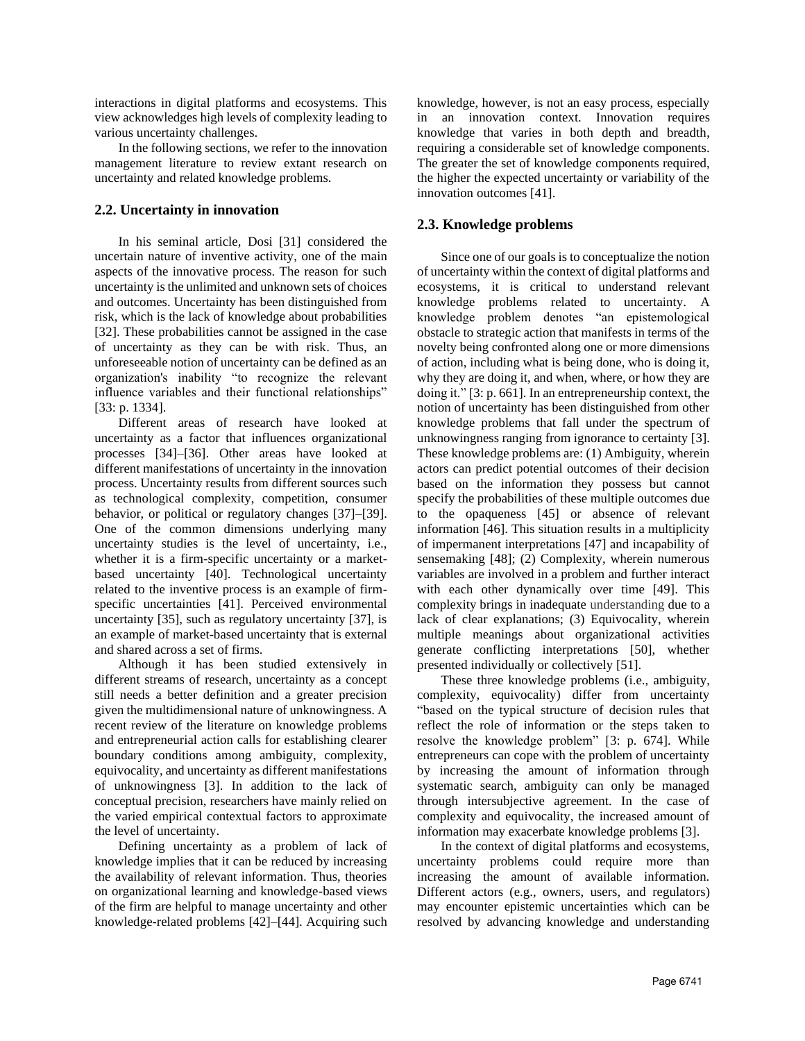interactions in digital platforms and ecosystems. This view acknowledges high levels of complexity leading to various uncertainty challenges.

In the following sections, we refer to the innovation management literature to review extant research on uncertainty and related knowledge problems.

### **2.2. Uncertainty in innovation**

In his seminal article, Dosi [31] considered the uncertain nature of inventive activity, one of the main aspects of the innovative process. The reason for such uncertainty is the unlimited and unknown sets of choices and outcomes. Uncertainty has been distinguished from risk, which is the lack of knowledge about probabilities [32]. These probabilities cannot be assigned in the case of uncertainty as they can be with risk. Thus, an unforeseeable notion of uncertainty can be defined as an organization's inability "to recognize the relevant influence variables and their functional relationships" [33: p. 1334].

Different areas of research have looked at uncertainty as a factor that influences organizational processes [34]–[36]. Other areas have looked at different manifestations of uncertainty in the innovation process. Uncertainty results from different sources such as technological complexity, competition, consumer behavior, or political or regulatory changes [37]–[39]. One of the common dimensions underlying many uncertainty studies is the level of uncertainty, i.e., whether it is a firm-specific uncertainty or a marketbased uncertainty [40]. Technological uncertainty related to the inventive process is an example of firmspecific uncertainties [41]. Perceived environmental uncertainty [35], such as regulatory uncertainty [37], is an example of market-based uncertainty that is external and shared across a set of firms.

Although it has been studied extensively in different streams of research, uncertainty as a concept still needs a better definition and a greater precision given the multidimensional nature of unknowingness. A recent review of the literature on knowledge problems and entrepreneurial action calls for establishing clearer boundary conditions among ambiguity, complexity, equivocality, and uncertainty as different manifestations of unknowingness [3]. In addition to the lack of conceptual precision, researchers have mainly relied on the varied empirical contextual factors to approximate the level of uncertainty.

Defining uncertainty as a problem of lack of knowledge implies that it can be reduced by increasing the availability of relevant information. Thus, theories on organizational learning and knowledge-based views of the firm are helpful to manage uncertainty and other knowledge-related problems [42]–[44]. Acquiring such knowledge, however, is not an easy process, especially in an innovation context. Innovation requires knowledge that varies in both depth and breadth, requiring a considerable set of knowledge components. The greater the set of knowledge components required, the higher the expected uncertainty or variability of the innovation outcomes [41].

### **2.3. Knowledge problems**

Since one of our goals is to conceptualize the notion of uncertainty within the context of digital platforms and ecosystems, it is critical to understand relevant knowledge problems related to uncertainty. A knowledge problem denotes "an epistemological obstacle to strategic action that manifests in terms of the novelty being confronted along one or more dimensions of action, including what is being done, who is doing it, why they are doing it, and when, where, or how they are doing it." [3: p. 661]. In an entrepreneurship context, the notion of uncertainty has been distinguished from other knowledge problems that fall under the spectrum of unknowingness ranging from ignorance to certainty [3]. These knowledge problems are: (1) Ambiguity, wherein actors can predict potential outcomes of their decision based on the information they possess but cannot specify the probabilities of these multiple outcomes due to the opaqueness [45] or absence of relevant information [46]. This situation results in a multiplicity of impermanent interpretations [47] and incapability of sensemaking [48]; (2) Complexity, wherein numerous variables are involved in a problem and further interact with each other dynamically over time [49]. This complexity brings in inadequate understanding due to a lack of clear explanations; (3) Equivocality, wherein multiple meanings about organizational activities generate conflicting interpretations [50], whether presented individually or collectively [51].

These three knowledge problems (i.e., ambiguity, complexity, equivocality) differ from uncertainty "based on the typical structure of decision rules that reflect the role of information or the steps taken to resolve the knowledge problem" [3: p. 674]. While entrepreneurs can cope with the problem of uncertainty by increasing the amount of information through systematic search, ambiguity can only be managed through intersubjective agreement. In the case of complexity and equivocality, the increased amount of information may exacerbate knowledge problems [3].

In the context of digital platforms and ecosystems, uncertainty problems could require more than increasing the amount of available information. Different actors (e.g., owners, users, and regulators) may encounter epistemic uncertainties which can be resolved by advancing knowledge and understanding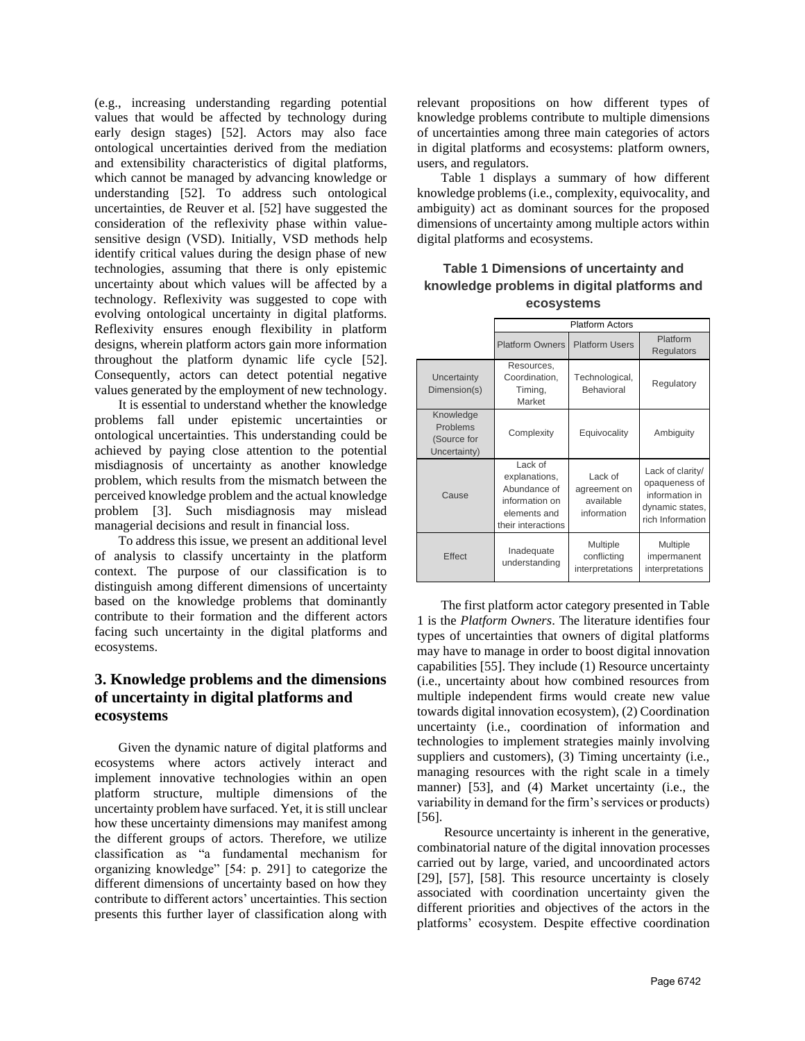(e.g., increasing understanding regarding potential values that would be affected by technology during early design stages) [52]. Actors may also face ontological uncertainties derived from the mediation and extensibility characteristics of digital platforms, which cannot be managed by advancing knowledge or understanding [52]. To address such ontological uncertainties, de Reuver et al. [52] have suggested the consideration of the reflexivity phase within valuesensitive design (VSD). Initially, VSD methods help identify critical values during the design phase of new technologies, assuming that there is only epistemic uncertainty about which values will be affected by a technology. Reflexivity was suggested to cope with evolving ontological uncertainty in digital platforms. Reflexivity ensures enough flexibility in platform designs, wherein platform actors gain more information throughout the platform dynamic life cycle [52]. Consequently, actors can detect potential negative values generated by the employment of new technology.

It is essential to understand whether the knowledge problems fall under epistemic uncertainties or ontological uncertainties. This understanding could be achieved by paying close attention to the potential misdiagnosis of uncertainty as another knowledge problem, which results from the mismatch between the perceived knowledge problem and the actual knowledge problem [3]. Such misdiagnosis may mislead managerial decisions and result in financial loss.

To address this issue, we present an additional level of analysis to classify uncertainty in the platform context. The purpose of our classification is to distinguish among different dimensions of uncertainty based on the knowledge problems that dominantly contribute to their formation and the different actors facing such uncertainty in the digital platforms and ecosystems.

# **3. Knowledge problems and the dimensions of uncertainty in digital platforms and ecosystems**

Given the dynamic nature of digital platforms and ecosystems where actors actively interact and implement innovative technologies within an open platform structure, multiple dimensions of the uncertainty problem have surfaced. Yet, it is still unclear how these uncertainty dimensions may manifest among the different groups of actors. Therefore, we utilize classification as "a fundamental mechanism for organizing knowledge" [54: p. 291] to categorize the different dimensions of uncertainty based on how they contribute to different actors' uncertainties. This section presents this further layer of classification along with

relevant propositions on how different types of knowledge problems contribute to multiple dimensions of uncertainties among three main categories of actors in digital platforms and ecosystems: platform owners, users, and regulators.

Table 1 displays a summary of how different knowledge problems (i.e., complexity, equivocality, and ambiguity) act as dominant sources for the proposed dimensions of uncertainty among multiple actors within digital platforms and ecosystems.

### **Table 1 Dimensions of uncertainty and knowledge problems in digital platforms and ecosystems**

|                                                      | <b>Platform Actors</b>                                                                           |                                                     |                                                                                            |
|------------------------------------------------------|--------------------------------------------------------------------------------------------------|-----------------------------------------------------|--------------------------------------------------------------------------------------------|
|                                                      | <b>Platform Owners</b>                                                                           | <b>Platform Users</b>                               | Platform<br>Regulators                                                                     |
| Uncertainty<br>Dimension(s)                          | Resources,<br>Coordination,<br>Timing,<br>Market                                                 | Technological,<br>Behavioral                        | Regulatory                                                                                 |
| Knowledge<br>Problems<br>(Source for<br>Uncertainty) | Complexity                                                                                       | Equivocality                                        | Ambiguity                                                                                  |
| Cause                                                | Lack of<br>explanations,<br>Abundance of<br>information on<br>elements and<br>their interactions | Lack of<br>agreement on<br>available<br>information | Lack of clarity/<br>opaqueness of<br>information in<br>dynamic states,<br>rich Information |
| Effect                                               | Inadequate<br>understanding                                                                      | Multiple<br>conflicting<br>interpretations          | Multiple<br>impermanent<br>interpretations                                                 |

The first platform actor category presented in Table 1 is the *Platform Owners*. The literature identifies four types of uncertainties that owners of digital platforms may have to manage in order to boost digital innovation capabilities [55]. They include (1) Resource uncertainty (i.e., uncertainty about how combined resources from multiple independent firms would create new value towards digital innovation ecosystem), (2) Coordination uncertainty (i.e., coordination of information and technologies to implement strategies mainly involving suppliers and customers), (3) Timing uncertainty (i.e., managing resources with the right scale in a timely manner) [53], and (4) Market uncertainty (i.e., the variability in demand for the firm's services or products) [56].

Resource uncertainty is inherent in the generative, combinatorial nature of the digital innovation processes carried out by large, varied, and uncoordinated actors [29], [57], [58]. This resource uncertainty is closely associated with coordination uncertainty given the different priorities and objectives of the actors in the platforms' ecosystem. Despite effective coordination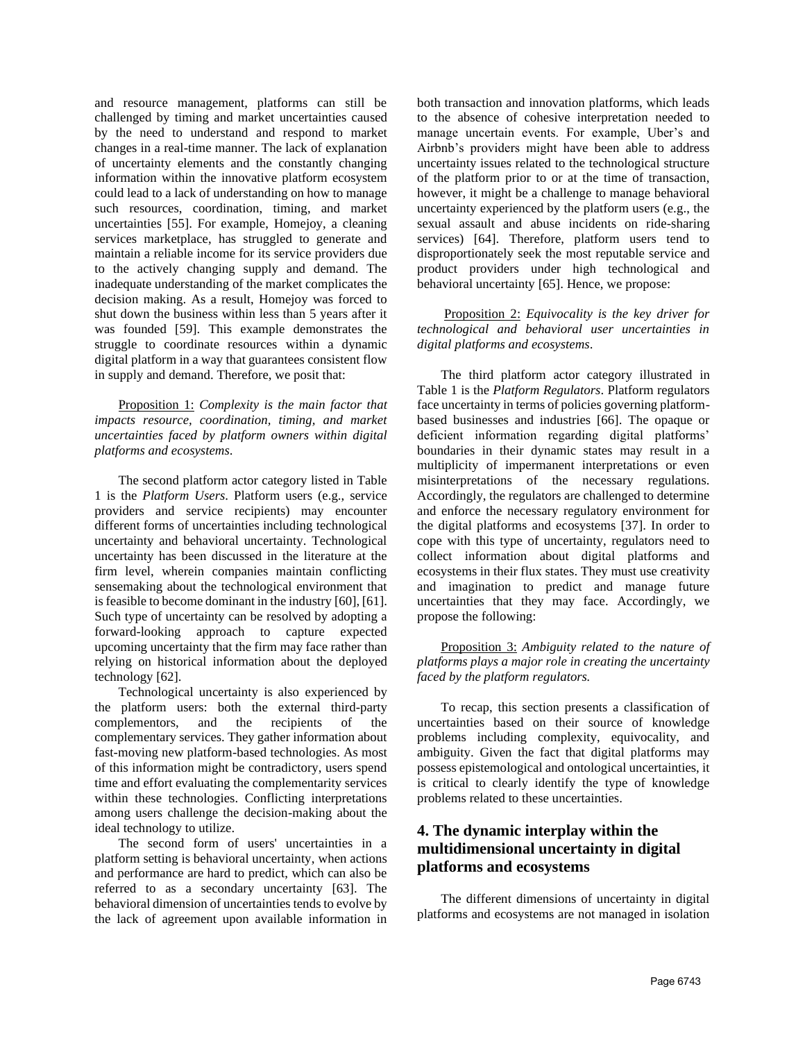and resource management, platforms can still be challenged by timing and market uncertainties caused by the need to understand and respond to market changes in a real-time manner. The lack of explanation of uncertainty elements and the constantly changing information within the innovative platform ecosystem could lead to a lack of understanding on how to manage such resources, coordination, timing, and market uncertainties [55]. For example, Homejoy, a cleaning services marketplace, has struggled to generate and maintain a reliable income for its service providers due to the actively changing supply and demand. The inadequate understanding of the market complicates the decision making. As a result, Homejoy was forced to shut down the business within less than 5 years after it was founded [59]. This example demonstrates the struggle to coordinate resources within a dynamic digital platform in a way that guarantees consistent flow in supply and demand. Therefore, we posit that:

Proposition 1: *Complexity is the main factor that impacts resource, coordination, timing, and market uncertainties faced by platform owners within digital platforms and ecosystems*.

The second platform actor category listed in Table 1 is the *Platform Users*. Platform users (e.g., service providers and service recipients) may encounter different forms of uncertainties including technological uncertainty and behavioral uncertainty. Technological uncertainty has been discussed in the literature at the firm level, wherein companies maintain conflicting sensemaking about the technological environment that is feasible to become dominant in the industry [60], [61]. Such type of uncertainty can be resolved by adopting a forward-looking approach to capture expected upcoming uncertainty that the firm may face rather than relying on historical information about the deployed technology [62].

Technological uncertainty is also experienced by the platform users: both the external third-party complementors, and the recipients of the complementary services. They gather information about fast-moving new platform-based technologies. As most of this information might be contradictory, users spend time and effort evaluating the complementarity services within these technologies. Conflicting interpretations among users challenge the decision-making about the ideal technology to utilize.

The second form of users' uncertainties in a platform setting is behavioral uncertainty, when actions and performance are hard to predict, which can also be referred to as a secondary uncertainty [63]. The behavioral dimension of uncertainties tends to evolve by the lack of agreement upon available information in both transaction and innovation platforms, which leads to the absence of cohesive interpretation needed to manage uncertain events. For example, Uber's and Airbnb's providers might have been able to address uncertainty issues related to the technological structure of the platform prior to or at the time of transaction, however, it might be a challenge to manage behavioral uncertainty experienced by the platform users (e.g., the sexual assault and abuse incidents on ride-sharing services) [64]. Therefore, platform users tend to disproportionately seek the most reputable service and product providers under high technological and behavioral uncertainty [65]. Hence, we propose:

Proposition 2: *Equivocality is the key driver for technological and behavioral user uncertainties in digital platforms and ecosystems*.

The third platform actor category illustrated in Table 1 is the *Platform Regulators*. Platform regulators face uncertainty in terms of policies governing platformbased businesses and industries [66]. The opaque or deficient information regarding digital platforms' boundaries in their dynamic states may result in a multiplicity of impermanent interpretations or even misinterpretations of the necessary regulations. Accordingly, the regulators are challenged to determine and enforce the necessary regulatory environment for the digital platforms and ecosystems [37]. In order to cope with this type of uncertainty, regulators need to collect information about digital platforms and ecosystems in their flux states. They must use creativity and imagination to predict and manage future uncertainties that they may face. Accordingly, we propose the following:

Proposition 3: *Ambiguity related to the nature of platforms plays a major role in creating the uncertainty faced by the platform regulators.* 

To recap, this section presents a classification of uncertainties based on their source of knowledge problems including complexity, equivocality, and ambiguity. Given the fact that digital platforms may possess epistemological and ontological uncertainties, it is critical to clearly identify the type of knowledge problems related to these uncertainties.

## **4. The dynamic interplay within the multidimensional uncertainty in digital platforms and ecosystems**

The different dimensions of uncertainty in digital platforms and ecosystems are not managed in isolation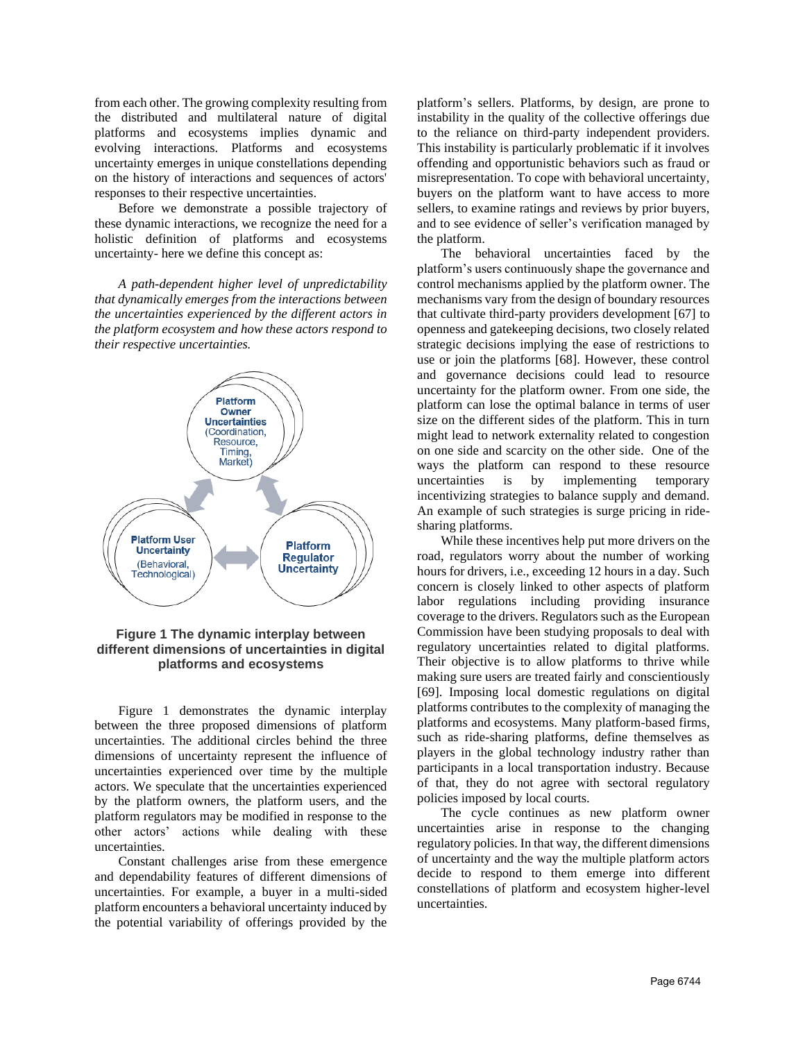from each other. The growing complexity resulting from the distributed and multilateral nature of digital platforms and ecosystems implies dynamic and evolving interactions. Platforms and ecosystems uncertainty emerges in unique constellations depending on the history of interactions and sequences of actors' responses to their respective uncertainties.

Before we demonstrate a possible trajectory of these dynamic interactions, we recognize the need for a holistic definition of platforms and ecosystems uncertainty- here we define this concept as:

*A path-dependent higher level of unpredictability that dynamically emerges from the interactions between the uncertainties experienced by the different actors in the platform ecosystem and how these actors respond to their respective uncertainties.*



### **Figure 1 The dynamic interplay between different dimensions of uncertainties in digital platforms and ecosystems**

Figure 1 demonstrates the dynamic interplay between the three proposed dimensions of platform uncertainties. The additional circles behind the three dimensions of uncertainty represent the influence of uncertainties experienced over time by the multiple actors. We speculate that the uncertainties experienced by the platform owners, the platform users, and the platform regulators may be modified in response to the other actors' actions while dealing with these uncertainties.

Constant challenges arise from these emergence and dependability features of different dimensions of uncertainties. For example, a buyer in a multi-sided platform encounters a behavioral uncertainty induced by the potential variability of offerings provided by the platform's sellers. Platforms, by design, are prone to instability in the quality of the collective offerings due to the reliance on third-party independent providers. This instability is particularly problematic if it involves offending and opportunistic behaviors such as fraud or misrepresentation. To cope with behavioral uncertainty, buyers on the platform want to have access to more sellers, to examine ratings and reviews by prior buyers, and to see evidence of seller's verification managed by the platform.

The behavioral uncertainties faced by the platform's users continuously shape the governance and control mechanisms applied by the platform owner. The mechanisms vary from the design of boundary resources that cultivate third-party providers development [67] to openness and gatekeeping decisions, two closely related strategic decisions implying the ease of restrictions to use or join the platforms [68]. However, these control and governance decisions could lead to resource uncertainty for the platform owner. From one side, the platform can lose the optimal balance in terms of user size on the different sides of the platform. This in turn might lead to network externality related to congestion on one side and scarcity on the other side. One of the ways the platform can respond to these resource uncertainties is by implementing temporary incentivizing strategies to balance supply and demand. An example of such strategies is surge pricing in ridesharing platforms.

While these incentives help put more drivers on the road, regulators worry about the number of working hours for drivers, i.e., exceeding 12 hours in a day. Such concern is closely linked to other aspects of platform labor regulations including providing insurance coverage to the drivers. Regulators such as the European Commission have been studying proposals to deal with regulatory uncertainties related to digital platforms. Their objective is to allow platforms to thrive while making sure users are treated fairly and conscientiously [69]. Imposing local domestic regulations on digital platforms contributes to the complexity of managing the platforms and ecosystems. Many platform-based firms, such as ride-sharing platforms, define themselves as players in the global technology industry rather than participants in a local transportation industry. Because of that, they do not agree with sectoral regulatory policies imposed by local courts.

The cycle continues as new platform owner uncertainties arise in response to the changing regulatory policies. In that way, the different dimensions of uncertainty and the way the multiple platform actors decide to respond to them emerge into different constellations of platform and ecosystem higher-level uncertainties.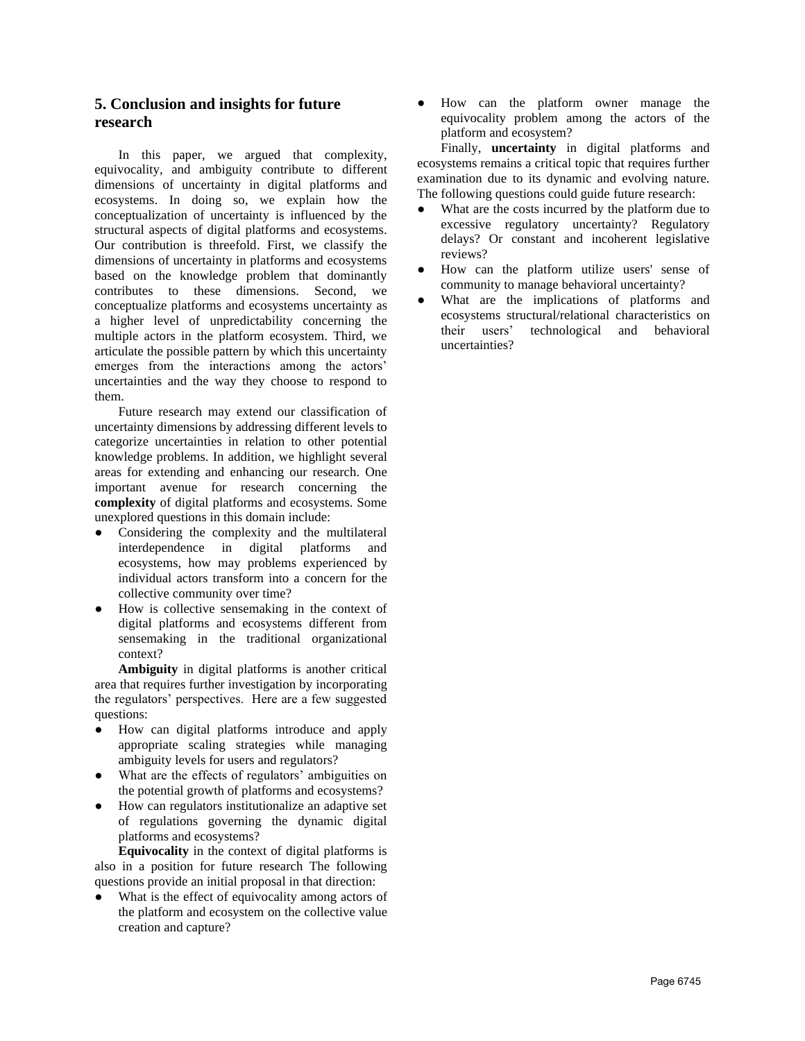# **5. Conclusion and insights for future research**

In this paper, we argued that complexity, equivocality, and ambiguity contribute to different dimensions of uncertainty in digital platforms and ecosystems. In doing so, we explain how the conceptualization of uncertainty is influenced by the structural aspects of digital platforms and ecosystems. Our contribution is threefold. First, we classify the dimensions of uncertainty in platforms and ecosystems based on the knowledge problem that dominantly contributes to these dimensions. Second, we conceptualize platforms and ecosystems uncertainty as a higher level of unpredictability concerning the multiple actors in the platform ecosystem. Third, we articulate the possible pattern by which this uncertainty emerges from the interactions among the actors' uncertainties and the way they choose to respond to them.

Future research may extend our classification of uncertainty dimensions by addressing different levels to categorize uncertainties in relation to other potential knowledge problems. In addition, we highlight several areas for extending and enhancing our research. One important avenue for research concerning the **complexity** of digital platforms and ecosystems. Some unexplored questions in this domain include:

- Considering the complexity and the multilateral interdependence in digital platforms and ecosystems, how may problems experienced by individual actors transform into a concern for the collective community over time?
- How is collective sensemaking in the context of digital platforms and ecosystems different from sensemaking in the traditional organizational context?

**Ambiguity** in digital platforms is another critical area that requires further investigation by incorporating the regulators' perspectives. Here are a few suggested questions:

- How can digital platforms introduce and apply appropriate scaling strategies while managing ambiguity levels for users and regulators?
- What are the effects of regulators' ambiguities on the potential growth of platforms and ecosystems?
- How can regulators institutionalize an adaptive set of regulations governing the dynamic digital platforms and ecosystems?

**Equivocality** in the context of digital platforms is also in a position for future research The following questions provide an initial proposal in that direction:

What is the effect of equivocality among actors of the platform and ecosystem on the collective value creation and capture?

● How can the platform owner manage the equivocality problem among the actors of the platform and ecosystem?

Finally, **uncertainty** in digital platforms and ecosystems remains a critical topic that requires further examination due to its dynamic and evolving nature. The following questions could guide future research:

- What are the costs incurred by the platform due to excessive regulatory uncertainty? Regulatory delays? Or constant and incoherent legislative reviews?
- How can the platform utilize users' sense of community to manage behavioral uncertainty?
- What are the implications of platforms and ecosystems structural/relational characteristics on their users' technological and behavioral uncertainties?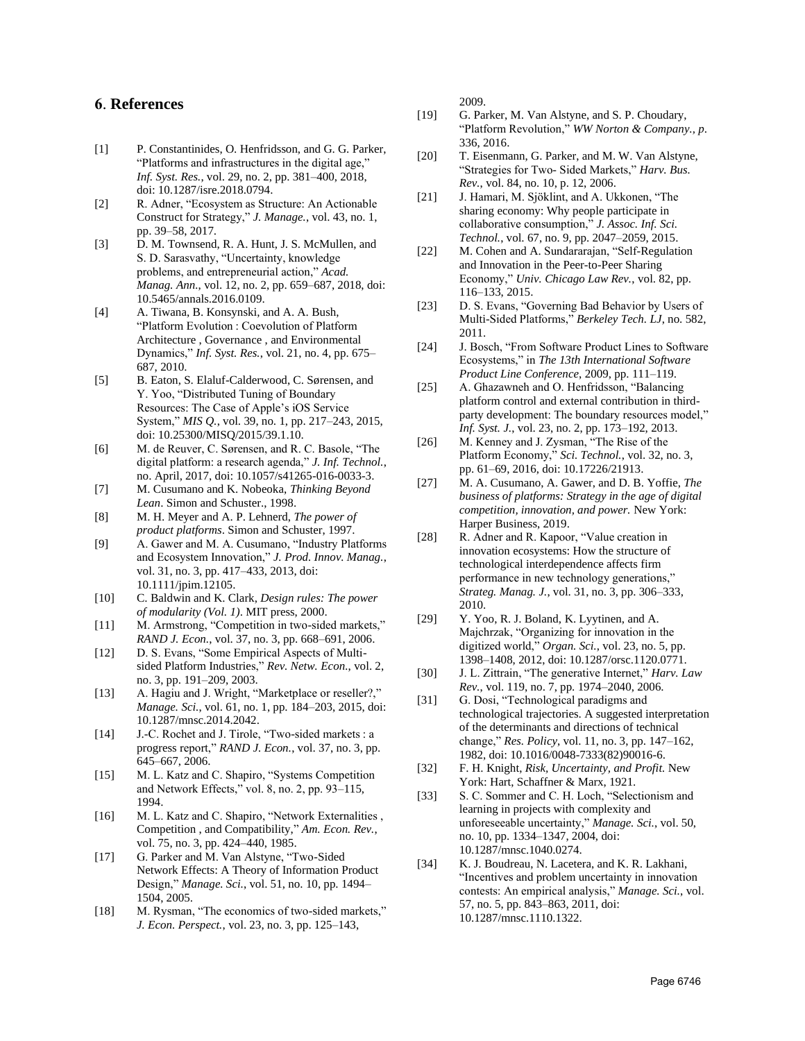### **6**. **References**

- [1] P. Constantinides, O. Henfridsson, and G. G. Parker, "Platforms and infrastructures in the digital age," *Inf. Syst. Res.*, vol. 29, no. 2, pp. 381–400, 2018, doi: 10.1287/isre.2018.0794.
- [2] R. Adner, "Ecosystem as Structure: An Actionable Construct for Strategy," *J. Manage.*, vol. 43, no. 1, pp. 39–58, 2017.
- [3] D. M. Townsend, R. A. Hunt, J. S. McMullen, and S. D. Sarasvathy, "Uncertainty, knowledge problems, and entrepreneurial action," *Acad. Manag. Ann.*, vol. 12, no. 2, pp. 659–687, 2018, doi: 10.5465/annals.2016.0109.
- [4] A. Tiwana, B. Konsynski, and A. A. Bush, "Platform Evolution : Coevolution of Platform Architecture , Governance , and Environmental Dynamics," *Inf. Syst. Res.*, vol. 21, no. 4, pp. 675– 687, 2010.
- [5] B. Eaton, S. Elaluf-Calderwood, C. Sørensen, and Y. Yoo, "Distributed Tuning of Boundary Resources: The Case of Apple's iOS Service System," *MIS Q.*, vol. 39, no. 1, pp. 217–243, 2015, doi: 10.25300/MISQ/2015/39.1.10.
- [6] M. de Reuver, C. Sørensen, and R. C. Basole, "The digital platform: a research agenda," *J. Inf. Technol.*, no. April, 2017, doi: 10.1057/s41265-016-0033-3.
- [7] M. Cusumano and K. Nobeoka, *Thinking Beyond Lean*. Simon and Schuster., 1998.
- [8] M. H. Meyer and A. P. Lehnerd, *The power of product platforms*. Simon and Schuster, 1997.
- [9] A. Gawer and M. A. Cusumano, "Industry Platforms and Ecosystem Innovation," *J. Prod. Innov. Manag.*, vol. 31, no. 3, pp. 417–433, 2013, doi: 10.1111/jpim.12105.
- [10] C. Baldwin and K. Clark, *Design rules: The power of modularity (Vol. 1)*. MIT press, 2000.
- [11] M. Armstrong, "Competition in two-sided markets," *RAND J. Econ.*, vol. 37, no. 3, pp. 668–691, 2006.
- [12] D. S. Evans, "Some Empirical Aspects of Multisided Platform Industries," *Rev. Netw. Econ.*, vol. 2, no. 3, pp. 191–209, 2003.
- [13] A. Hagiu and J. Wright, "Marketplace or reseller?," *Manage. Sci.*, vol. 61, no. 1, pp. 184–203, 2015, doi: 10.1287/mnsc.2014.2042.
- [14] J.-C. Rochet and J. Tirole, "Two-sided markets : a progress report," *RAND J. Econ.*, vol. 37, no. 3, pp. 645–667, 2006.
- [15] M. L. Katz and C. Shapiro, "Systems Competition and Network Effects," vol. 8, no. 2, pp. 93–115, 1994.
- [16] M. L. Katz and C. Shapiro, "Network Externalities , Competition , and Compatibility," *Am. Econ. Rev.*, vol. 75, no. 3, pp. 424–440, 1985.
- [17] G. Parker and M. Van Alstyne, "Two-Sided Network Effects: A Theory of Information Product Design," *Manage. Sci.*, vol. 51, no. 10, pp. 1494– 1504, 2005.
- [18] M. Rysman, "The economics of two-sided markets," *J. Econ. Perspect.*, vol. 23, no. 3, pp. 125–143,

2009.

- [19] G. Parker, M. Van Alstyne, and S. P. Choudary, "Platform Revolution," *WW Norton & Company., p*. 336, 2016.
- [20] T. Eisenmann, G. Parker, and M. W. Van Alstyne, "Strategies for Two- Sided Markets," *Harv. Bus. Rev.*, vol. 84, no. 10, p. 12, 2006.
- [21] J. Hamari, M. Sjöklint, and A. Ukkonen, "The sharing economy: Why people participate in collaborative consumption," *J. Assoc. Inf. Sci. Technol.*, vol. 67, no. 9, pp. 2047–2059, 2015.
- [22] M. Cohen and A. Sundararajan, "Self-Regulation and Innovation in the Peer-to-Peer Sharing Economy," *Univ. Chicago Law Rev.*, vol. 82, pp. 116–133, 2015.
- [23] D. S. Evans, "Governing Bad Behavior by Users of Multi-Sided Platforms," *Berkeley Tech. LJ*, no. 582, 2011.
- [24] J. Bosch, "From Software Product Lines to Software Ecosystems," in *The 13th International Software Product Line Conference*, 2009, pp. 111–119.
- [25] A. Ghazawneh and O. Henfridsson, "Balancing platform control and external contribution in thirdparty development: The boundary resources model," *Inf. Syst. J.*, vol. 23, no. 2, pp. 173–192, 2013.
- [26] M. Kenney and J. Zysman, "The Rise of the Platform Economy," *Sci. Technol.*, vol. 32, no. 3, pp. 61–69, 2016, doi: 10.17226/21913.
- [27] M. A. Cusumano, A. Gawer, and D. B. Yoffie, *The business of platforms: Strategy in the age of digital competition, innovation, and power.* New York: Harper Business, 2019.
- [28] R. Adner and R. Kapoor, "Value creation in innovation ecosystems: How the structure of technological interdependence affects firm performance in new technology generations," *Strateg. Manag. J.*, vol. 31, no. 3, pp. 306–333, 2010.
- [29] Y. Yoo, R. J. Boland, K. Lyytinen, and A. Majchrzak, "Organizing for innovation in the digitized world," *Organ. Sci.*, vol. 23, no. 5, pp. 1398–1408, 2012, doi: 10.1287/orsc.1120.0771.
- [30] J. L. Zittrain, "The generative Internet," *Harv. Law Rev.*, vol. 119, no. 7, pp. 1974–2040, 2006.
- [31] G. Dosi, "Technological paradigms and technological trajectories. A suggested interpretation of the determinants and directions of technical change," *Res. Policy*, vol. 11, no. 3, pp. 147–162, 1982, doi: 10.1016/0048-7333(82)90016-6.
- [32] F. H. Knight, *Risk, Uncertainty, and Profit.* New York: Hart, Schaffner & Marx, 1921.
- [33] S. C. Sommer and C. H. Loch, "Selectionism and learning in projects with complexity and unforeseeable uncertainty," *Manage. Sci.*, vol. 50, no. 10, pp. 1334–1347, 2004, doi: 10.1287/mnsc.1040.0274.
- [34] K. J. Boudreau, N. Lacetera, and K. R. Lakhani, "Incentives and problem uncertainty in innovation contests: An empirical analysis," *Manage. Sci.*, vol. 57, no. 5, pp. 843–863, 2011, doi: 10.1287/mnsc.1110.1322.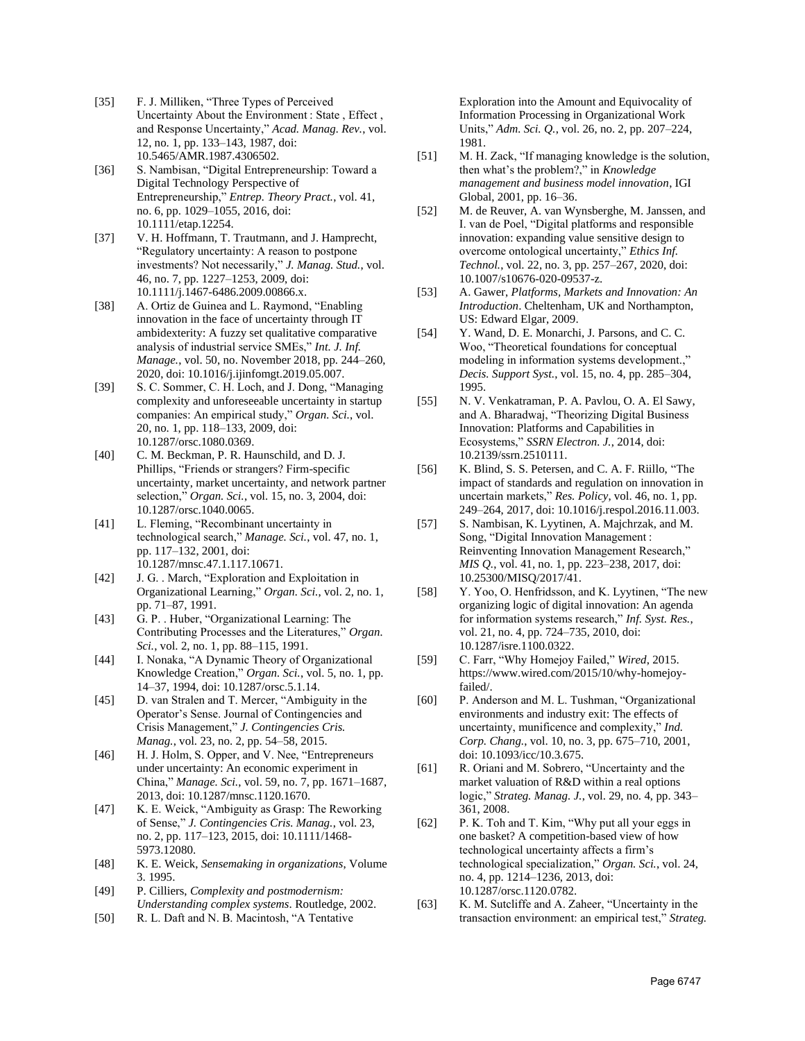- [35] F. J. Milliken, "Three Types of Perceived Uncertainty About the Environment : State , Effect , and Response Uncertainty," *Acad. Manag. Rev.*, vol. 12, no. 1, pp. 133–143, 1987, doi: 10.5465/AMR.1987.4306502.
- [36] S. Nambisan, "Digital Entrepreneurship: Toward a Digital Technology Perspective of Entrepreneurship," *Entrep. Theory Pract.*, vol. 41, no. 6, pp. 1029–1055, 2016, doi: 10.1111/etap.12254.
- [37] V. H. Hoffmann, T. Trautmann, and J. Hamprecht, "Regulatory uncertainty: A reason to postpone investments? Not necessarily," *J. Manag. Stud.*, vol. 46, no. 7, pp. 1227–1253, 2009, doi: 10.1111/j.1467-6486.2009.00866.x.
- [38] A. Ortiz de Guinea and L. Raymond, "Enabling" innovation in the face of uncertainty through IT ambidexterity: A fuzzy set qualitative comparative analysis of industrial service SMEs," *Int. J. Inf. Manage.*, vol. 50, no. November 2018, pp. 244–260, 2020, doi: 10.1016/j.ijinfomgt.2019.05.007.
- [39] S. C. Sommer, C. H. Loch, and J. Dong, "Managing complexity and unforeseeable uncertainty in startup companies: An empirical study," *Organ. Sci.*, vol. 20, no. 1, pp. 118–133, 2009, doi: 10.1287/orsc.1080.0369.
- [40] C. M. Beckman, P. R. Haunschild, and D. J. Phillips, "Friends or strangers? Firm-specific uncertainty, market uncertainty, and network partner selection," *Organ. Sci.*, vol. 15, no. 3, 2004, doi: 10.1287/orsc.1040.0065.
- [41] L. Fleming, "Recombinant uncertainty in technological search," *Manage. Sci.*, vol. 47, no. 1, pp. 117–132, 2001, doi: 10.1287/mnsc.47.1.117.10671.
- [42] J. G. . March, "Exploration and Exploitation in Organizational Learning," *Organ. Sci.*, vol. 2, no. 1, pp. 71–87, 1991.
- [43] G. P. . Huber, "Organizational Learning: The Contributing Processes and the Literatures," *Organ. Sci.*, vol. 2, no. 1, pp. 88–115, 1991.
- [44] I. Nonaka, "A Dynamic Theory of Organizational Knowledge Creation," *Organ. Sci.*, vol. 5, no. 1, pp. 14–37, 1994, doi: 10.1287/orsc.5.1.14.
- [45] D. van Stralen and T. Mercer, "Ambiguity in the Operator's Sense. Journal of Contingencies and Crisis Management," *J. Contingencies Cris. Manag.*, vol. 23, no. 2, pp. 54–58, 2015.
- [46] H. J. Holm, S. Opper, and V. Nee, "Entrepreneurs" under uncertainty: An economic experiment in China," *Manage. Sci.*, vol. 59, no. 7, pp. 1671–1687, 2013, doi: 10.1287/mnsc.1120.1670.
- [47] K. E. Weick, "Ambiguity as Grasp: The Reworking of Sense," *J. Contingencies Cris. Manag.*, vol. 23, no. 2, pp. 117–123, 2015, doi: 10.1111/1468- 5973.12080.
- [48] K. E. Weick, *Sensemaking in organizations*, Volume 3. 1995.
- [49] P. Cilliers, *Complexity and postmodernism: Understanding complex systems*. Routledge, 2002.
- [50] R. L. Daft and N. B. Macintosh, "A Tentative

Exploration into the Amount and Equivocality of Information Processing in Organizational Work Units," *Adm. Sci. Q.*, vol. 26, no. 2, pp. 207–224, 1981.

- [51] M. H. Zack, "If managing knowledge is the solution, then what's the problem?," in *Knowledge management and business model innovation*, IGI Global, 2001, pp. 16–36.
- [52] M. de Reuver, A. van Wynsberghe, M. Janssen, and I. van de Poel, "Digital platforms and responsible innovation: expanding value sensitive design to overcome ontological uncertainty," *Ethics Inf. Technol.*, vol. 22, no. 3, pp. 257–267, 2020, doi: 10.1007/s10676-020-09537-z.
- [53] A. Gawer, *Platforms, Markets and Innovation: An Introduction*. Cheltenham, UK and Northampton, US: Edward Elgar, 2009.
- [54] Y. Wand, D. E. Monarchi, J. Parsons, and C. C. Woo, "Theoretical foundations for conceptual modeling in information systems development.," *Decis. Support Syst.*, vol. 15, no. 4, pp. 285–304, 1995.
- [55] N. V. Venkatraman, P. A. Pavlou, O. A. El Sawy, and A. Bharadwaj, "Theorizing Digital Business Innovation: Platforms and Capabilities in Ecosystems," *SSRN Electron. J.*, 2014, doi: 10.2139/ssrn.2510111.
- [56] K. Blind, S. S. Petersen, and C. A. F. Riillo, "The impact of standards and regulation on innovation in uncertain markets," *Res. Policy*, vol. 46, no. 1, pp. 249–264, 2017, doi: 10.1016/j.respol.2016.11.003.
- [57] S. Nambisan, K. Lyytinen, A. Majchrzak, and M. Song, "Digital Innovation Management : Reinventing Innovation Management Research," *MIS Q.*, vol. 41, no. 1, pp. 223–238, 2017, doi: 10.25300/MISQ/2017/41.
- [58] Y. Yoo, O. Henfridsson, and K. Lyytinen, "The new organizing logic of digital innovation: An agenda for information systems research," *Inf. Syst. Res.*, vol. 21, no. 4, pp. 724–735, 2010, doi: 10.1287/isre.1100.0322.
- [59] C. Farr, "Why Homejoy Failed," *Wired*, 2015. https://www.wired.com/2015/10/why-homejoyfailed/.
- [60] P. Anderson and M. L. Tushman, "Organizational environments and industry exit: The effects of uncertainty, munificence and complexity," *Ind. Corp. Chang.*, vol. 10, no. 3, pp. 675–710, 2001, doi: 10.1093/icc/10.3.675.
- [61] R. Oriani and M. Sobrero, "Uncertainty and the market valuation of R&D within a real options logic," *Strateg. Manag. J.*, vol. 29, no. 4, pp. 343– 361, 2008.
- [62] P. K. Toh and T. Kim, "Why put all your eggs in one basket? A competition-based view of how technological uncertainty affects a firm's technological specialization," *Organ. Sci.*, vol. 24, no. 4, pp. 1214–1236, 2013, doi: 10.1287/orsc.1120.0782.
- [63] K. M. Sutcliffe and A. Zaheer, "Uncertainty in the transaction environment: an empirical test," *Strateg.*